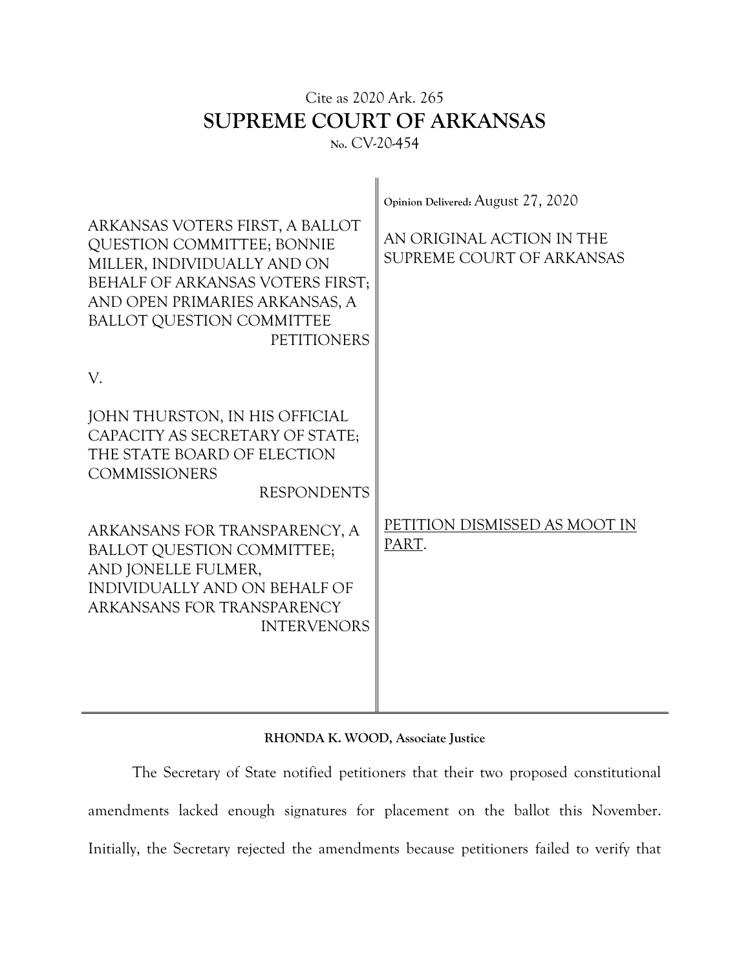## Cite as 2020 Ark. 265 **SUPREME COURT OF ARKANSAS No.** CV-20-454

| ARKANSAS VOTERS FIRST, A BALLOT<br>QUESTION COMMITTEE; BONNIE<br>MILLER, INDIVIDUALLY AND ON<br>BEHALF OF ARKANSAS VOTERS FIRST;<br>AND OPEN PRIMARIES ARKANSAS, A<br><b>BALLOT QUESTION COMMITTEE</b><br><b>PETITIONERS</b> | Opinion Delivered: August 27, 2020<br>AN ORIGINAL ACTION IN THE<br>SUPREME COURT OF ARKANSAS |
|------------------------------------------------------------------------------------------------------------------------------------------------------------------------------------------------------------------------------|----------------------------------------------------------------------------------------------|
| V.<br>JOHN THURSTON, IN HIS OFFICIAL<br>CAPACITY AS SECRETARY OF STATE;<br>THE STATE BOARD OF ELECTION<br><b>COMMISSIONERS</b><br><b>RESPONDENTS</b>                                                                         |                                                                                              |
| ARKANSANS FOR TRANSPARENCY, A<br><b>BALLOT QUESTION COMMITTEE;</b><br>AND JONELLE FULMER,<br>INDIVIDUALLY AND ON BEHALF OF<br>ARKANSANS FOR TRANSPARENCY<br><b>INTERVENORS</b>                                               | PETITION DISMISSED AS MOOT IN<br>PART.                                                       |

## **RHONDA K. WOOD, Associate Justice**

The Secretary of State notified petitioners that their two proposed constitutional amendments lacked enough signatures for placement on the ballot this November. Initially, the Secretary rejected the amendments because petitioners failed to verify that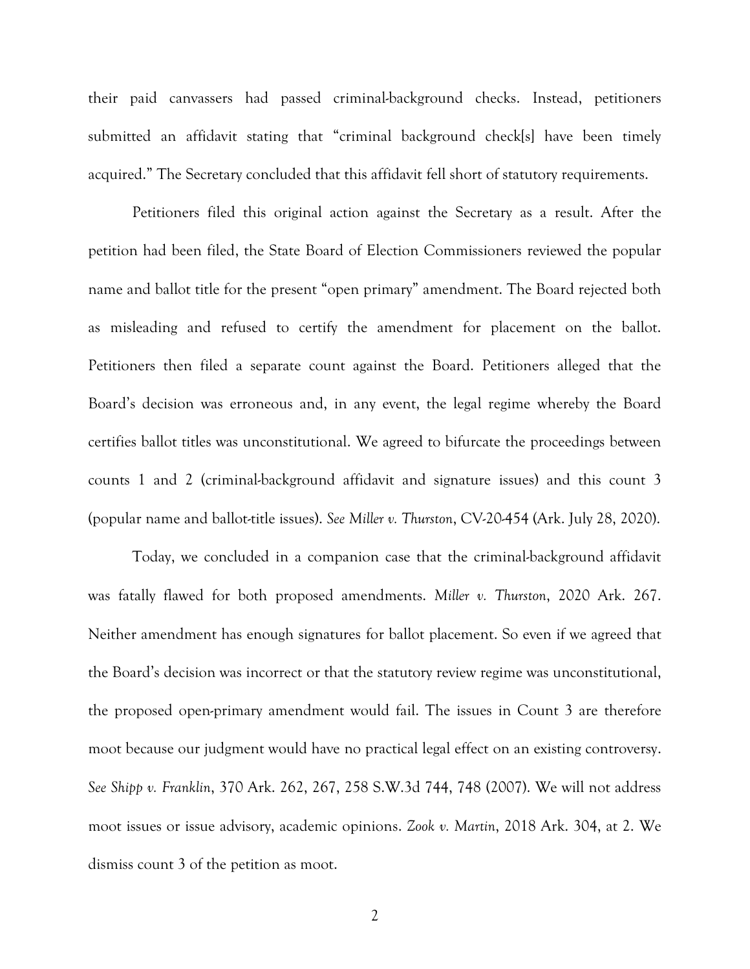their paid canvassers had passed criminal-background checks. Instead, petitioners submitted an affidavit stating that "criminal background check[s] have been timely acquired." The Secretary concluded that this affidavit fell short of statutory requirements.

Petitioners filed this original action against the Secretary as a result. After the petition had been filed, the State Board of Election Commissioners reviewed the popular name and ballot title for the present "open primary" amendment. The Board rejected both as misleading and refused to certify the amendment for placement on the ballot. Petitioners then filed a separate count against the Board. Petitioners alleged that the Board's decision was erroneous and, in any event, the legal regime whereby the Board certifies ballot titles was unconstitutional. We agreed to bifurcate the proceedings between counts 1 and 2 (criminal-background affidavit and signature issues) and this count 3 (popular name and ballot-title issues). *See Miller v. Thurston*, CV-20-454 (Ark. July 28, 2020).

Today, we concluded in a companion case that the criminal-background affidavit was fatally flawed for both proposed amendments. *Miller v. Thurston*, 2020 Ark. 267. Neither amendment has enough signatures for ballot placement. So even if we agreed that the Board's decision was incorrect or that the statutory review regime was unconstitutional, the proposed open-primary amendment would fail. The issues in Count 3 are therefore moot because our judgment would have no practical legal effect on an existing controversy. *See Shipp v. Franklin*, 370 Ark. 262, 267, 258 S.W.3d 744, 748 (2007). We will not address moot issues or issue advisory, academic opinions. *Zook v. Martin*, 2018 Ark. 304, at 2. We dismiss count 3 of the petition as moot.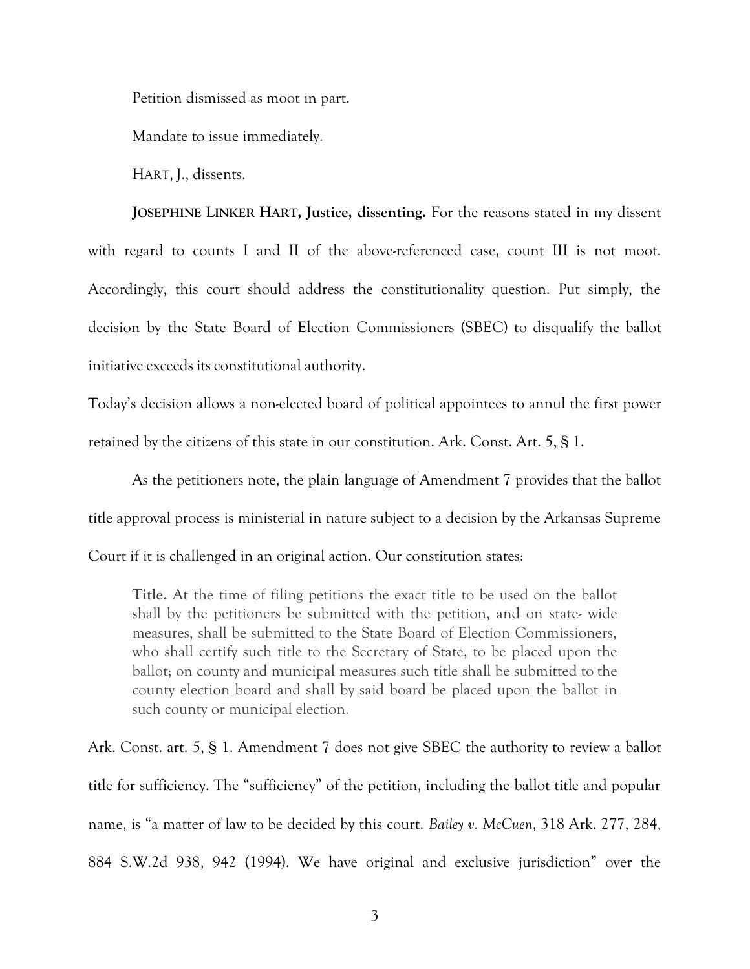Petition dismissed as moot in part.

Mandate to issue immediately.

HART, J., dissents.

**JOSEPHINE LINKER HART, Justice, dissenting.** For the reasons stated in my dissent with regard to counts I and II of the above-referenced case, count III is not moot. Accordingly, this court should address the constitutionality question. Put simply, the decision by the State Board of Election Commissioners (SBEC) to disqualify the ballot initiative exceeds its constitutional authority.

Today's decision allows a non-elected board of political appointees to annul the first power retained by the citizens of this state in our constitution. Ark. Const. Art. 5, § 1.

As the petitioners note, the plain language of Amendment 7 provides that the ballot title approval process is ministerial in nature subject to a decision by the Arkansas Supreme

Court if it is challenged in an original action. Our constitution states:

**Title.** At the time of filing petitions the exact title to be used on the ballot shall by the petitioners be submitted with the petition, and on state- wide measures, shall be submitted to the State Board of Election Commissioners, who shall certify such title to the Secretary of State, to be placed upon the ballot; on county and municipal measures such title shall be submitted to the county election board and shall by said board be placed upon the ballot in such county or municipal election.

Ark. Const. art. 5, § 1. Amendment 7 does not give SBEC the authority to review a ballot title for sufficiency. The "sufficiency" of the petition, including the ballot title and popular name, is "a matter of law to be decided by this court. *Bailey v. McCuen*, 318 Ark. 277, 284, 884 S.W.2d 938, 942 (1994). We have original and exclusive jurisdiction" over the